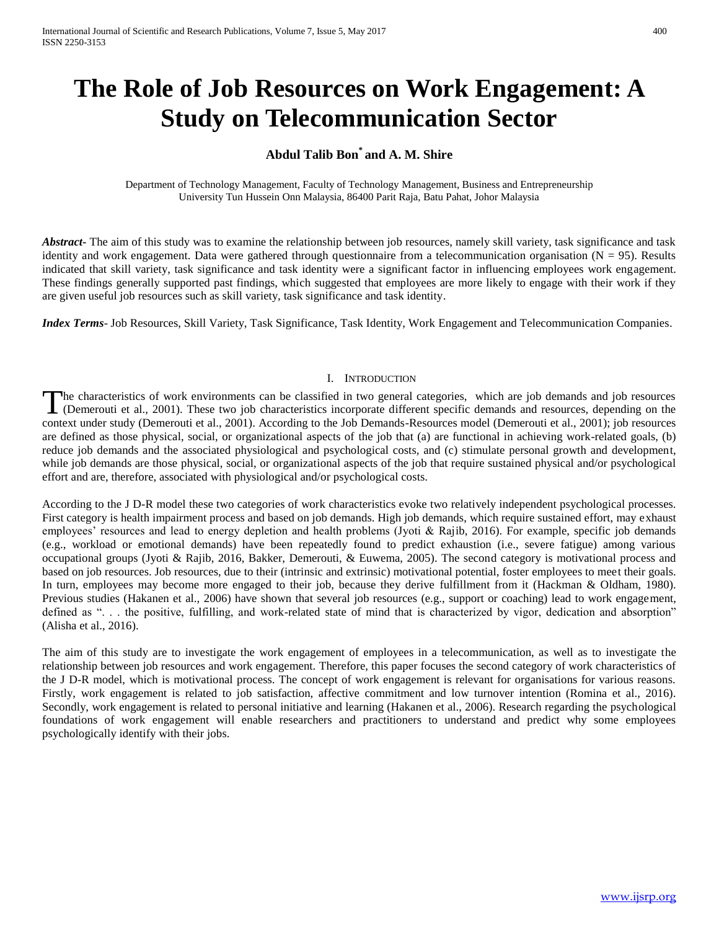# **The Role of Job Resources on Work Engagement: A Study on Telecommunication Sector**

## **Abdul Talib Bon\* and A. M. Shire**

Department of Technology Management, Faculty of Technology Management, Business and Entrepreneurship University Tun Hussein Onn Malaysia, 86400 Parit Raja, Batu Pahat, Johor Malaysia

Abstract **The aim of this study was to examine the relationship between job resources, namely skill variety, task significance and task** identity and work engagement. Data were gathered through questionnaire from a telecommunication organisation ( $N = 95$ ). Results indicated that skill variety, task significance and task identity were a significant factor in influencing employees work engagement. These findings generally supported past findings, which suggested that employees are more likely to engage with their work if they are given useful job resources such as skill variety, task significance and task identity.

*Index Terms*- Job Resources, Skill Variety, Task Significance, Task Identity, Work Engagement and Telecommunication Companies.

### I. INTRODUCTION

he characteristics of work environments can be classified in two general categories, which are job demands and job resources The characteristics of work environments can be classified in two general categories, which are job demands and job resources (Demerouti et al., 2001). These two job characteristics incorporate different specific demands a context under study (Demerouti et al., 2001). According to the Job Demands-Resources model (Demerouti et al., 2001); job resources are defined as those physical, social, or organizational aspects of the job that (a) are functional in achieving work-related goals, (b) reduce job demands and the associated physiological and psychological costs, and (c) stimulate personal growth and development, while job demands are those physical, social, or organizational aspects of the job that require sustained physical and/or psychological effort and are, therefore, associated with physiological and/or psychological costs.

According to the J D-R model these two categories of work characteristics evoke two relatively independent psychological processes. First category is health impairment process and based on job demands. High job demands, which require sustained effort, may exhaust employees' resources and lead to energy depletion and health problems (Jyoti & Rajib, 2016). For example, specific job demands (e.g., workload or emotional demands) have been repeatedly found to predict exhaustion (i.e., severe fatigue) among various occupational groups (Jyoti & Rajib, 2016, Bakker, Demerouti, & Euwema, 2005). The second category is motivational process and based on job resources. Job resources, due to their (intrinsic and extrinsic) motivational potential, foster employees to meet their goals. In turn, employees may become more engaged to their job, because they derive fulfillment from it (Hackman & Oldham, 1980). Previous studies (Hakanen et al., 2006) have shown that several job resources (e.g., support or coaching) lead to work engagement, defined as ". . . the positive, fulfilling, and work-related state of mind that is characterized by vigor, dedication and absorption" (Alisha et al., 2016).

The aim of this study are to investigate the work engagement of employees in a telecommunication, as well as to investigate the relationship between job resources and work engagement. Therefore, this paper focuses the second category of work characteristics of the J D-R model, which is motivational process. The concept of work engagement is relevant for organisations for various reasons. Firstly, work engagement is related to job satisfaction, affective commitment and low turnover intention (Romina et al., 2016). Secondly, work engagement is related to personal initiative and learning (Hakanen et al., 2006). Research regarding the psychological foundations of work engagement will enable researchers and practitioners to understand and predict why some employees psychologically identify with their jobs.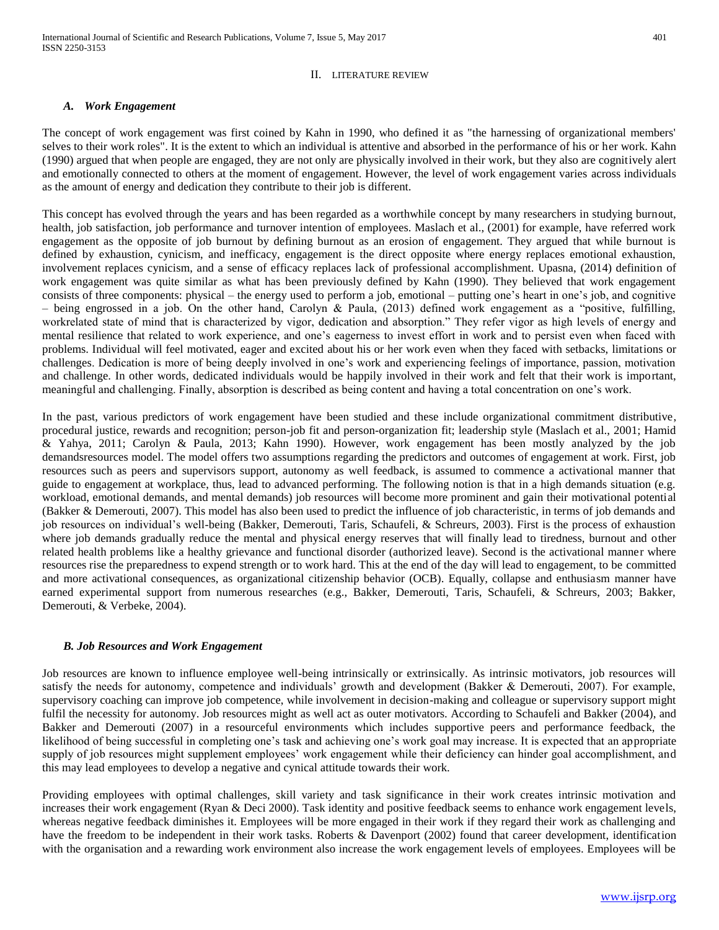#### II. LITERATURE REVIEW

## *A. Work Engagement*

The concept of work engagement was first coined by Kahn in 1990, who defined it as "the harnessing of organizational members' selves to their work roles". It is the extent to which an individual is attentive and absorbed in the performance of his or her work. Kahn (1990) argued that when people are engaged, they are not only are physically involved in their work, but they also are cognitively alert and emotionally connected to others at the moment of engagement. However, the level of work engagement varies across individuals as the amount of energy and dedication they contribute to their job is different.

This concept has evolved through the years and has been regarded as a worthwhile concept by many researchers in studying burnout, health, job satisfaction, job performance and turnover intention of employees. Maslach et al., (2001) for example, have referred work engagement as the opposite of job burnout by defining burnout as an erosion of engagement. They argued that while burnout is defined by exhaustion, cynicism, and inefficacy, engagement is the direct opposite where energy replaces emotional exhaustion, involvement replaces cynicism, and a sense of efficacy replaces lack of professional accomplishment. Upasna, (2014) definition of work engagement was quite similar as what has been previously defined by Kahn (1990). They believed that work engagement consists of three components: physical – the energy used to perform a job, emotional – putting one's heart in one's job, and cognitive – being engrossed in a job. On the other hand, Carolyn & Paula, (2013) defined work engagement as a "positive, fulfilling, workrelated state of mind that is characterized by vigor, dedication and absorption." They refer vigor as high levels of energy and mental resilience that related to work experience, and one's eagerness to invest effort in work and to persist even when faced with problems. Individual will feel motivated, eager and excited about his or her work even when they faced with setbacks, limitations or challenges. Dedication is more of being deeply involved in one's work and experiencing feelings of importance, passion, motivation and challenge. In other words, dedicated individuals would be happily involved in their work and felt that their work is important, meaningful and challenging. Finally, absorption is described as being content and having a total concentration on one's work.

In the past, various predictors of work engagement have been studied and these include organizational commitment distributive, procedural justice, rewards and recognition; person-job fit and person-organization fit; leadership style (Maslach et al., 2001; Hamid & Yahya, 2011; Carolyn & Paula, 2013; Kahn 1990). However, work engagement has been mostly analyzed by the job demandsresources model. The model offers two assumptions regarding the predictors and outcomes of engagement at work. First, job resources such as peers and supervisors support, autonomy as well feedback, is assumed to commence a activational manner that guide to engagement at workplace, thus, lead to advanced performing. The following notion is that in a high demands situation (e.g. workload, emotional demands, and mental demands) job resources will become more prominent and gain their motivational potential (Bakker & Demerouti, 2007). This model has also been used to predict the influence of job characteristic, in terms of job demands and job resources on individual's well-being (Bakker, Demerouti, Taris, Schaufeli, & Schreurs, 2003). First is the process of exhaustion where job demands gradually reduce the mental and physical energy reserves that will finally lead to tiredness, burnout and other related health problems like a healthy grievance and functional disorder (authorized leave). Second is the activational manner where resources rise the preparedness to expend strength or to work hard. This at the end of the day will lead to engagement, to be committed and more activational consequences, as organizational citizenship behavior (OCB). Equally, collapse and enthusiasm manner have earned experimental support from numerous researches (e.g., Bakker, Demerouti, Taris, Schaufeli, & Schreurs, 2003; Bakker, Demerouti, & Verbeke, 2004).

#### *B. Job Resources and Work Engagement*

Job resources are known to influence employee well-being intrinsically or extrinsically. As intrinsic motivators, job resources will satisfy the needs for autonomy, competence and individuals' growth and development (Bakker & Demerouti, 2007). For example, supervisory coaching can improve job competence, while involvement in decision-making and colleague or supervisory support might fulfil the necessity for autonomy. Job resources might as well act as outer motivators. According to Schaufeli and Bakker (2004), and Bakker and Demerouti (2007) in a resourceful environments which includes supportive peers and performance feedback, the likelihood of being successful in completing one's task and achieving one's work goal may increase. It is expected that an appropriate supply of job resources might supplement employees' work engagement while their deficiency can hinder goal accomplishment, and this may lead employees to develop a negative and cynical attitude towards their work.

Providing employees with optimal challenges, skill variety and task significance in their work creates intrinsic motivation and increases their work engagement (Ryan & Deci 2000). Task identity and positive feedback seems to enhance work engagement levels, whereas negative feedback diminishes it. Employees will be more engaged in their work if they regard their work as challenging and have the freedom to be independent in their work tasks. Roberts & Davenport (2002) found that career development, identification with the organisation and a rewarding work environment also increase the work engagement levels of employees. Employees will be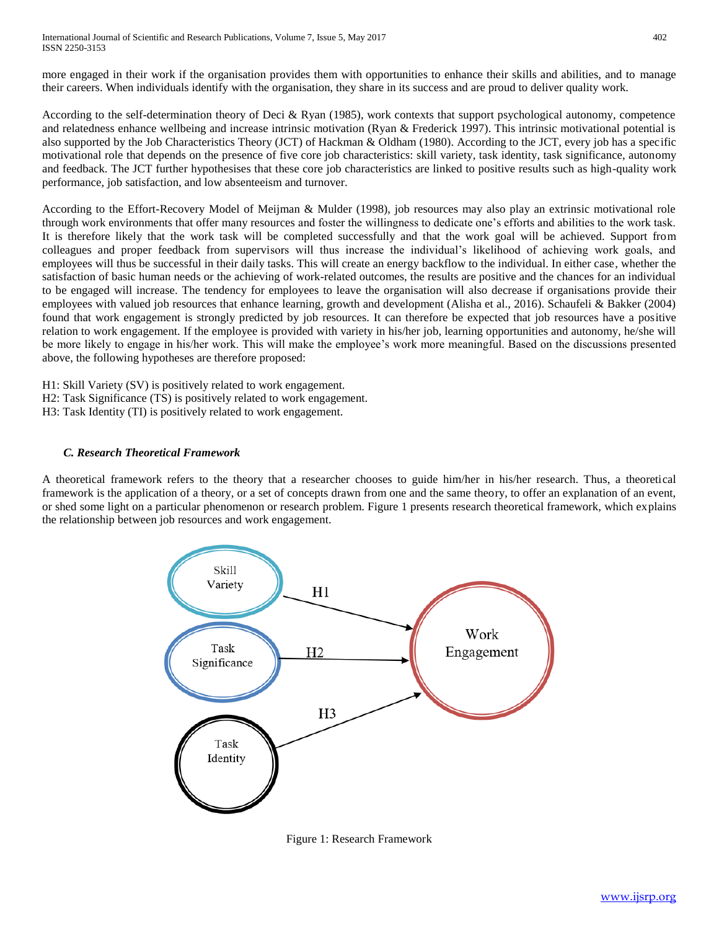more engaged in their work if the organisation provides them with opportunities to enhance their skills and abilities, and to manage their careers. When individuals identify with the organisation, they share in its success and are proud to deliver quality work.

According to the self-determination theory of Deci & Ryan (1985), work contexts that support psychological autonomy, competence and relatedness enhance wellbeing and increase intrinsic motivation (Ryan & Frederick 1997). This intrinsic motivational potential is also supported by the Job Characteristics Theory (JCT) of Hackman & Oldham (1980). According to the JCT, every job has a specific motivational role that depends on the presence of five core job characteristics: skill variety, task identity, task significance, autonomy and feedback. The JCT further hypothesises that these core job characteristics are linked to positive results such as high-quality work performance, job satisfaction, and low absenteeism and turnover.

According to the Effort-Recovery Model of Meijman & Mulder (1998), job resources may also play an extrinsic motivational role through work environments that offer many resources and foster the willingness to dedicate one's efforts and abilities to the work task. It is therefore likely that the work task will be completed successfully and that the work goal will be achieved. Support from colleagues and proper feedback from supervisors will thus increase the individual's likelihood of achieving work goals, and employees will thus be successful in their daily tasks. This will create an energy backflow to the individual. In either case, whether the satisfaction of basic human needs or the achieving of work-related outcomes, the results are positive and the chances for an individual to be engaged will increase. The tendency for employees to leave the organisation will also decrease if organisations provide their employees with valued job resources that enhance learning, growth and development (Alisha et al., 2016). Schaufeli & Bakker (2004) found that work engagement is strongly predicted by job resources. It can therefore be expected that job resources have a positive relation to work engagement. If the employee is provided with variety in his/her job, learning opportunities and autonomy, he/she will be more likely to engage in his/her work. This will make the employee's work more meaningful. Based on the discussions presented above, the following hypotheses are therefore proposed:

H1: Skill Variety (SV) is positively related to work engagement.

H2: Task Significance (TS) is positively related to work engagement.

H3: Task Identity (TI) is positively related to work engagement.

## *C. Research Theoretical Framework*

A theoretical framework refers to the theory that a researcher chooses to guide him/her in his/her research. Thus, a theoretical framework is the application of a theory, or a set of concepts drawn from one and the same theory, to offer an explanation of an event, or shed some light on a particular phenomenon or research problem. Figure 1 presents research theoretical framework, which explains the relationship between job resources and work engagement.



Figure 1: Research Framework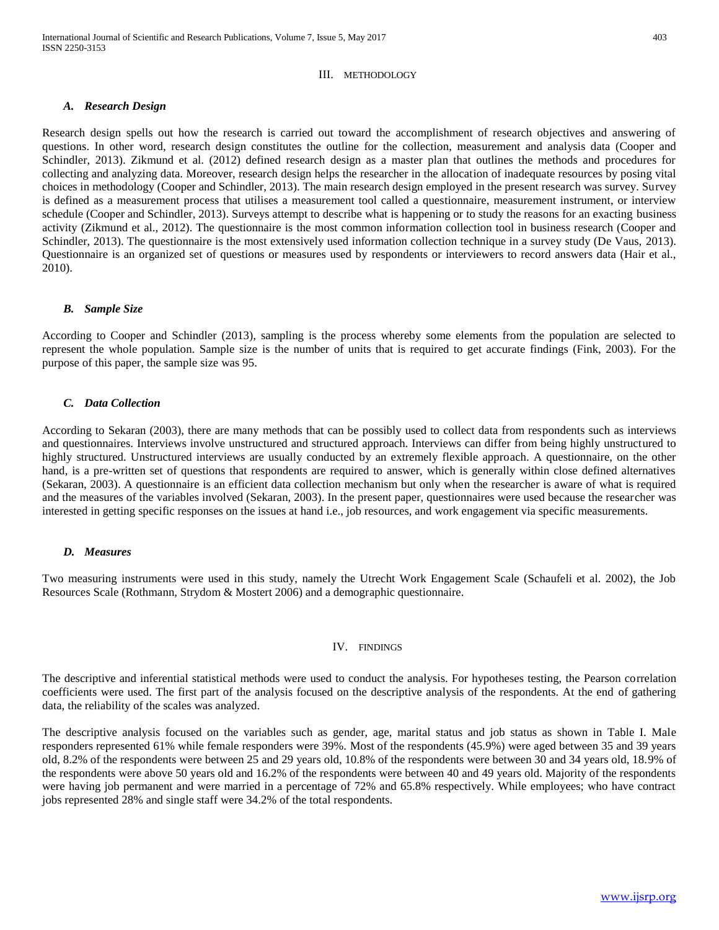#### III. METHODOLOGY

#### *A. Research Design*

Research design spells out how the research is carried out toward the accomplishment of research objectives and answering of questions. In other word, research design constitutes the outline for the collection, measurement and analysis data (Cooper and Schindler, 2013). Zikmund et al. (2012) defined research design as a master plan that outlines the methods and procedures for collecting and analyzing data. Moreover, research design helps the researcher in the allocation of inadequate resources by posing vital choices in methodology (Cooper and Schindler, 2013). The main research design employed in the present research was survey. Survey is defined as a measurement process that utilises a measurement tool called a questionnaire, measurement instrument, or interview schedule (Cooper and Schindler, 2013). Surveys attempt to describe what is happening or to study the reasons for an exacting business activity (Zikmund et al., 2012). The questionnaire is the most common information collection tool in business research (Cooper and Schindler, 2013). The questionnaire is the most extensively used information collection technique in a survey study (De Vaus, 2013). Questionnaire is an organized set of questions or measures used by respondents or interviewers to record answers data (Hair et al., 2010).

#### *B. Sample Size*

According to Cooper and Schindler (2013), sampling is the process whereby some elements from the population are selected to represent the whole population. Sample size is the number of units that is required to get accurate findings (Fink, 2003). For the purpose of this paper, the sample size was 95.

#### *C. Data Collection*

According to Sekaran (2003), there are many methods that can be possibly used to collect data from respondents such as interviews and questionnaires. Interviews involve unstructured and structured approach. Interviews can differ from being highly unstructured to highly structured. Unstructured interviews are usually conducted by an extremely flexible approach. A questionnaire, on the other hand, is a pre-written set of questions that respondents are required to answer, which is generally within close defined alternatives (Sekaran, 2003). A questionnaire is an efficient data collection mechanism but only when the researcher is aware of what is required and the measures of the variables involved (Sekaran, 2003). In the present paper, questionnaires were used because the researcher was interested in getting specific responses on the issues at hand i.e., job resources, and work engagement via specific measurements.

#### *D. Measures*

Two measuring instruments were used in this study, namely the Utrecht Work Engagement Scale (Schaufeli et al. 2002), the Job Resources Scale (Rothmann, Strydom & Mostert 2006) and a demographic questionnaire.

#### IV. FINDINGS

The descriptive and inferential statistical methods were used to conduct the analysis. For hypotheses testing, the Pearson correlation coefficients were used. The first part of the analysis focused on the descriptive analysis of the respondents. At the end of gathering data, the reliability of the scales was analyzed.

The descriptive analysis focused on the variables such as gender, age, marital status and job status as shown in Table I. Male responders represented 61% while female responders were 39%. Most of the respondents (45.9%) were aged between 35 and 39 years old, 8.2% of the respondents were between 25 and 29 years old, 10.8% of the respondents were between 30 and 34 years old, 18.9% of the respondents were above 50 years old and 16.2% of the respondents were between 40 and 49 years old. Majority of the respondents were having job permanent and were married in a percentage of 72% and 65.8% respectively. While employees; who have contract jobs represented 28% and single staff were 34.2% of the total respondents.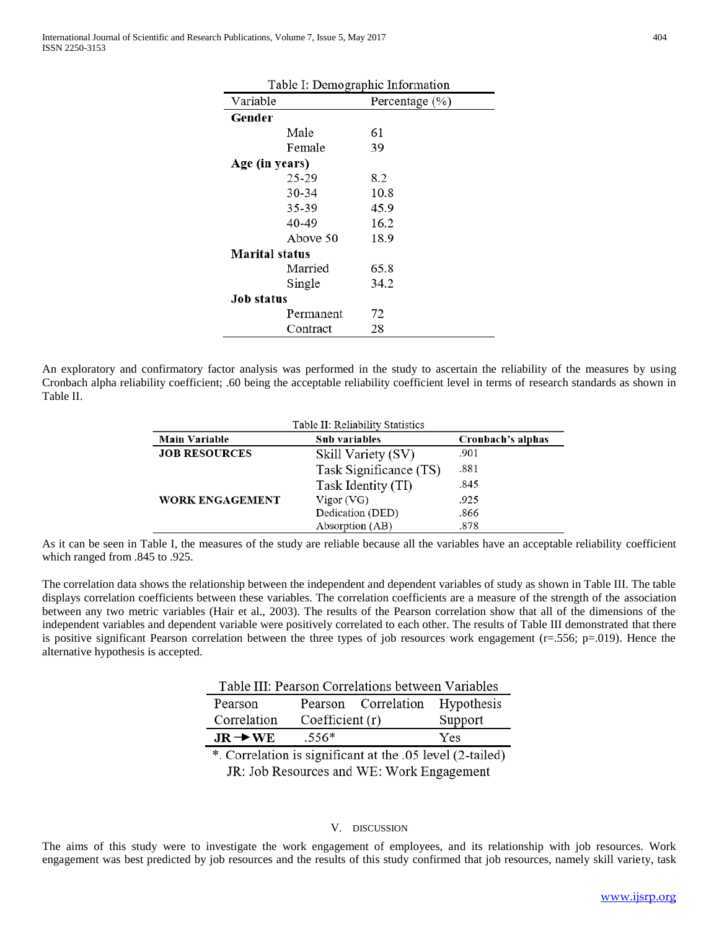| Table I: Demographic Information |           |                    |  |  |  |
|----------------------------------|-----------|--------------------|--|--|--|
| Variable                         |           | Percentage $(\% )$ |  |  |  |
| Gender                           |           |                    |  |  |  |
|                                  | Male      | 61                 |  |  |  |
|                                  | Female    | 39                 |  |  |  |
| Age (in years)                   |           |                    |  |  |  |
|                                  | 25-29     | 8.2                |  |  |  |
|                                  | 30-34     | 10.8               |  |  |  |
|                                  | 35-39     | 45.9               |  |  |  |
|                                  | 40-49     | 16.2               |  |  |  |
|                                  | Above 50  | 18.9               |  |  |  |
| <b>Marital status</b>            |           |                    |  |  |  |
|                                  | Married   | 65.8               |  |  |  |
|                                  | Single    | 34.2               |  |  |  |
| <b>Job status</b>                |           |                    |  |  |  |
|                                  | Permanent | 72                 |  |  |  |
|                                  | Contract  | 28                 |  |  |  |

An exploratory and confirmatory factor analysis was performed in the study to ascertain the reliability of the measures by using Cronbach alpha reliability coefficient; .60 being the acceptable reliability coefficient level in terms of research standards as shown in Table II.

| Table II: Reliability Statistics           |                        |                   |  |  |  |
|--------------------------------------------|------------------------|-------------------|--|--|--|
| <b>Main Variable</b>                       | Sub variables          | Cronbach's alphas |  |  |  |
| <b>JOB RESOURCES</b><br>Skill Variety (SV) |                        | .901              |  |  |  |
|                                            | Task Significance (TS) | .881              |  |  |  |
|                                            | Task Identity (TI)     | .845              |  |  |  |
| <b>WORK ENGAGEMENT</b>                     | Vigor $(VG)$           | .925              |  |  |  |
|                                            | Dedication (DED)       | .866              |  |  |  |
|                                            | Absorption (AB)        | .878              |  |  |  |

As it can be seen in Table I, the measures of the study are reliable because all the variables have an acceptable reliability coefficient which ranged from .845 to .925.

The correlation data shows the relationship between the independent and dependent variables of study as shown in Table III. The table displays correlation coefficients between these variables. The correlation coefficients are a measure of the strength of the association between any two metric variables (Hair et al., 2003). The results of the Pearson correlation show that all of the dimensions of the independent variables and dependent variable were positively correlated to each other. The results of Table III demonstrated that there is positive significant Pearson correlation between the three types of job resources work engagement ( $r=0.556$ ;  $p=0.019$ ). Hence the alternative hypothesis is accepted.

| Table III: Pearson Correlations between Variables         |                   |                     |            |  |  |  |
|-----------------------------------------------------------|-------------------|---------------------|------------|--|--|--|
| Pearson                                                   |                   | Pearson Correlation | Hypothesis |  |  |  |
| Correlation                                               | Coefficient $(r)$ |                     | Support    |  |  |  |
| $JR \rightarrow WE$                                       | $.556*$           |                     | Yes        |  |  |  |
| *. Correlation is significant at the .05 level (2-tailed) |                   |                     |            |  |  |  |

JR: Job Resources and WE: Work Engagement

#### V. DISCUSSION

The aims of this study were to investigate the work engagement of employees, and its relationship with job resources. Work engagement was best predicted by job resources and the results of this study confirmed that job resources, namely skill variety, task